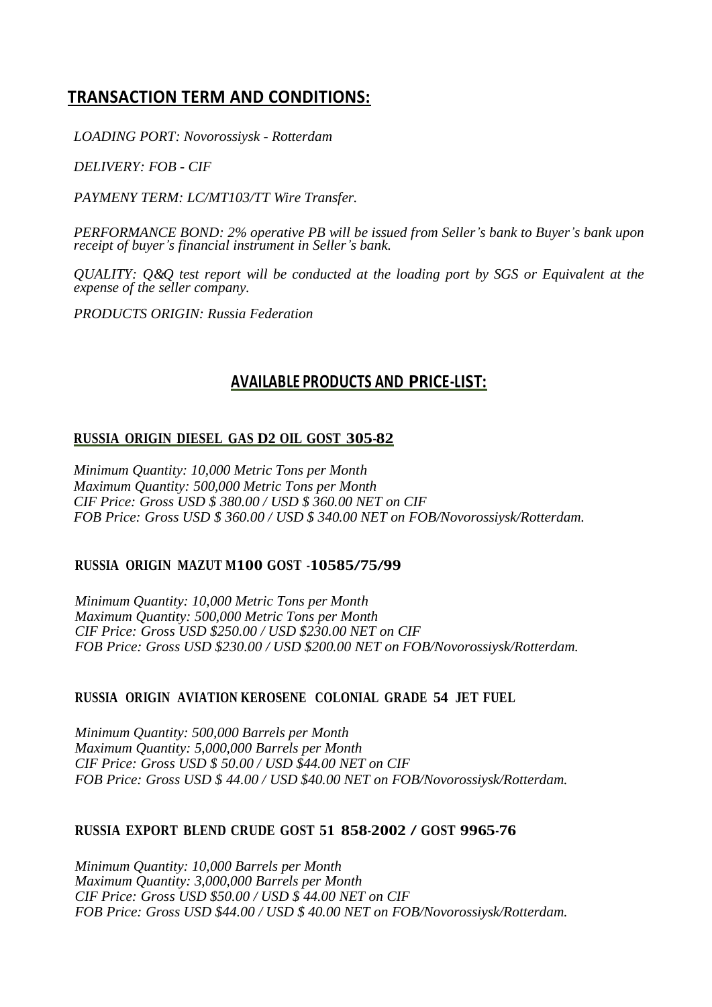# **TRANSACTION TERM AND CONDITIONS:**

*LOADING PORT: Novorossiysk - Rotterdam*

*DELIVERY: FOB - CIF*

*PAYMENY TERM: LC/MT103/TT Wire Transfer.*

*PERFORMANCE BOND: 2% operative PB will be issued from Seller's bank to Buyer's bank upon receipt of buyer's financial instrument in Seller's bank.*

*QUALITY: Q&Q test report will be conducted at the loading port by SGS or Equivalent at the expense of the seller company.*

*PRODUCTS ORIGIN: Russia Federation*

## **AVAILABLE PRODUCTS AND PRICE-LIST:**

## **RUSSIA ORIGIN DIESEL GAS D2 OIL GOST 305-82**

*Minimum Quantity: 10,000 Metric Tons per Month Maximum Quantity: 500,000 Metric Tons per Month CIF Price: Gross USD \$ 380.00 / USD \$ 360.00 NET on CIF FOB Price: Gross USD \$ 360.00 / USD \$ 340.00 NET on FOB/Novorossiysk/Rotterdam.*

## **RUSSIA ORIGIN MAZUT M100 GOST -10585/75/99**

*Minimum Quantity: 10,000 Metric Tons per Month Maximum Quantity: 500,000 Metric Tons per Month CIF Price: Gross USD \$250.00 / USD \$230.00 NET on CIF FOB Price: Gross USD \$230.00 / USD \$200.00 NET on FOB/Novorossiysk/Rotterdam.*

## **RUSSIA ORIGIN AVIATION KEROSENE COLONIAL GRADE 54 JET FUEL**

*Minimum Quantity: 500,000 Barrels per Month Maximum Quantity: 5,000,000 Barrels per Month CIF Price: Gross USD \$ 50.00 / USD \$44.00 NET on CIF FOB Price: Gross USD \$ 44.00 / USD \$40.00 NET on FOB/Novorossiysk/Rotterdam.*

## **RUSSIA EXPORT BLEND CRUDE GOST <sup>51</sup> 858-2002 / GOST 9965-76**

*Minimum Quantity: 10,000 Barrels per Month Maximum Quantity: 3,000,000 Barrels per Month CIF Price: Gross USD \$50.00 / USD \$ 44.00 NET on CIF FOB Price: Gross USD \$44.00 / USD \$ 40.00 NET on FOB/Novorossiysk/Rotterdam.*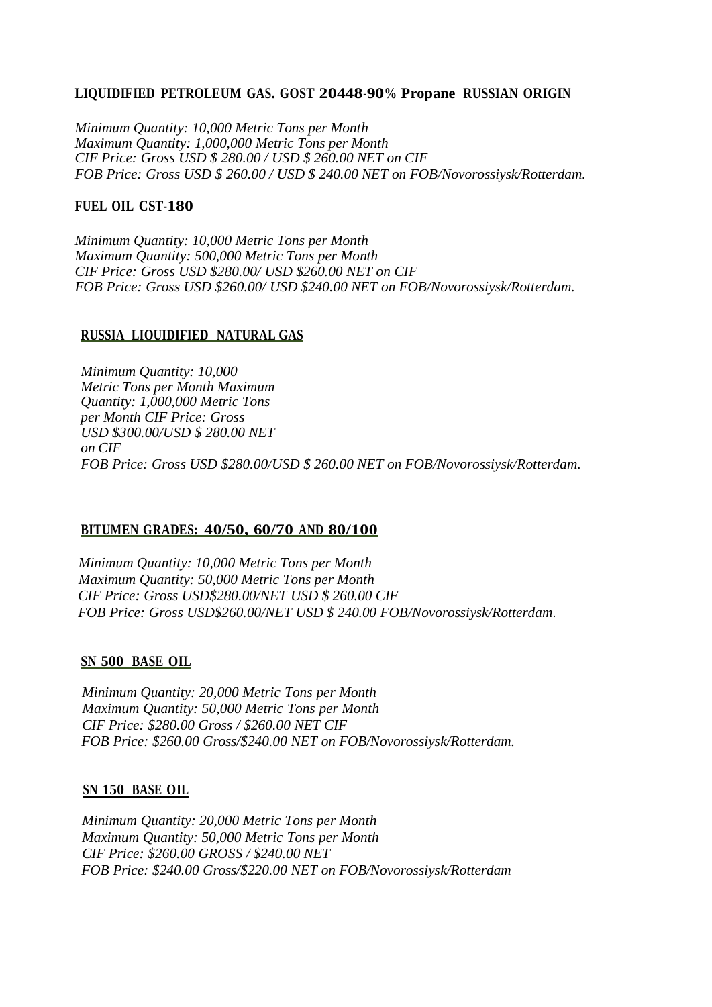#### **LIQUIDIFIED PETROLEUM GAS. GOST 20448-90% Propane RUSSIAN ORIGIN**

*Minimum Quantity: 10,000 Metric Tons per Month Maximum Quantity: 1,000,000 Metric Tons per Month CIF Price: Gross USD \$ 280.00 / USD \$ 260.00 NET on CIF FOB Price: Gross USD \$ 260.00 / USD \$ 240.00 NET on FOB/Novorossiysk/Rotterdam.*

#### **FUEL OIL CST-180**

*Minimum Quantity: 10,000 Metric Tons per Month Maximum Quantity: 500,000 Metric Tons per Month CIF Price: Gross USD \$280.00/ USD \$260.00 NET on CIF FOB Price: Gross USD \$260.00/ USD \$240.00 NET on FOB/Novorossiysk/Rotterdam.*

#### **RUSSIA LIQUIDIFIED NATURAL GAS**

*Minimum Quantity: 10,000 Metric Tons per Month Maximum Quantity: 1,000,000 Metric Tons per Month CIF Price: Gross USD \$300.00/USD \$ 280.00 NET on CIF FOB Price: Gross USD \$280.00/USD \$ 260.00 NET on FOB/Novorossiysk/Rotterdam.*

## **BITUMEN GRADES: 40/50, 60/70 AND 80/100**

 *Minimum Quantity: 10,000 Metric Tons per Month Maximum Quantity: 50,000 Metric Tons per Month CIF Price: Gross USD\$280.00/NET USD \$ 260.00 CIF FOB Price: Gross USD\$260.00/NET USD \$ 240.00 FOB/Novorossiysk/Rotterdam*.

#### **SN 500 BASE OIL**

 *Minimum Quantity: 20,000 Metric Tons per Month Maximum Quantity: 50,000 Metric Tons per Month CIF Price: \$280.00 Gross / \$260.00 NET CIF FOB Price: \$260.00 Gross/\$240.00 NET on FOB/Novorossiysk/Rotterdam.*

#### **SN 150 BASE OIL**

 *Minimum Quantity: 20,000 Metric Tons per Month Maximum Quantity: 50,000 Metric Tons per Month CIF Price: \$260.00 GROSS / \$240.00 NET FOB Price: \$240.00 Gross/\$220.00 NET on FOB/Novorossiysk/Rotterdam*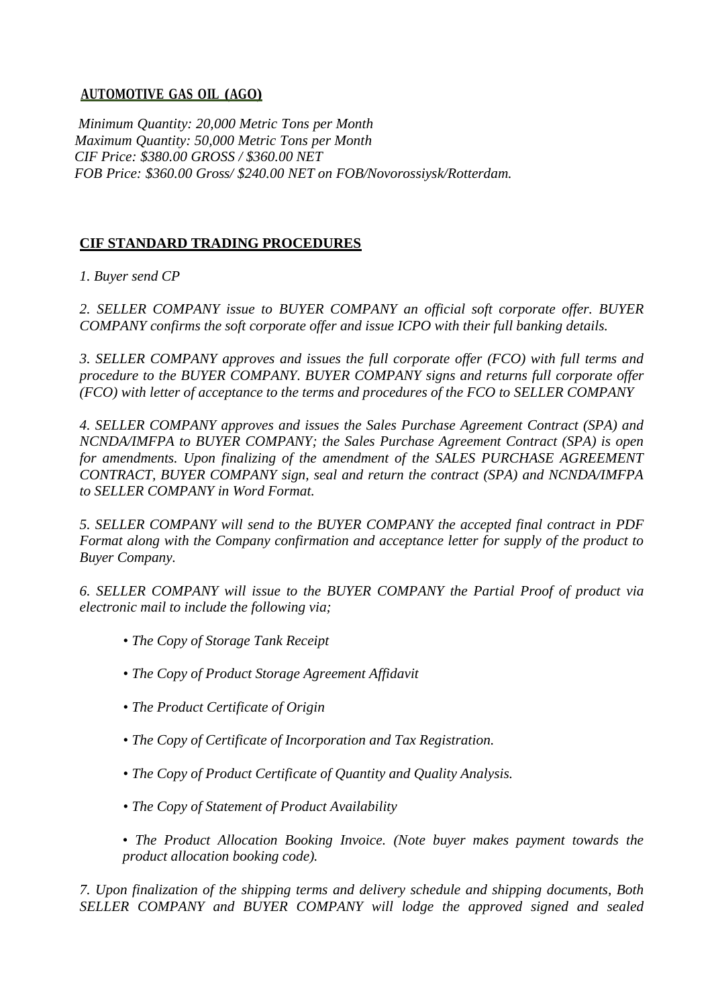## **AUTOMOTIVE GAS OIL (AGO)**

 *Minimum Quantity: 20,000 Metric Tons per Month Maximum Quantity: 50,000 Metric Tons per Month CIF Price: \$380.00 GROSS / \$360.00 NET FOB Price: \$360.00 Gross/ \$240.00 NET on FOB/Novorossiysk/Rotterdam.*

## **CIF STANDARD TRADING PROCEDURES**

*1. Buyer send CP* 

*2. SELLER COMPANY issue to BUYER COMPANY an official soft corporate offer. BUYER COMPANY confirms the soft corporate offer and issue ICPO with their full banking details.*

*3. SELLER COMPANY approves and issues the full corporate offer (FCO) with full terms and procedure to the BUYER COMPANY. BUYER COMPANY signs and returns full corporate offer (FCO) with letter of acceptance to the terms and procedures of the FCO to SELLER COMPANY*

*4. SELLER COMPANY approves and issues the Sales Purchase Agreement Contract (SPA) and NCNDA/IMFPA to BUYER COMPANY; the Sales Purchase Agreement Contract (SPA) is open*  for amendments. Upon finalizing of the amendment of the SALES PURCHASE AGREEMENT *CONTRACT, BUYER COMPANY sign, seal and return the contract (SPA) and NCNDA/IMFPA to SELLER COMPANY in Word Format.*

*5. SELLER COMPANY will send to the BUYER COMPANY the accepted final contract in PDF Format along with the Company confirmation and acceptance letter for supply of the product to Buyer Company.*

*6. SELLER COMPANY will issue to the BUYER COMPANY the Partial Proof of product via electronic mail to include the following via;*

- *The Copy of Storage Tank Receipt*
- *The Copy of Product Storage Agreement Affidavit*
- *The Product Certificate of Origin*
- *The Copy of Certificate of Incorporation and Tax Registration.*
- *The Copy of Product Certificate of Quantity and Quality Analysis.*
- *The Copy of Statement of Product Availability*
- *The Product Allocation Booking Invoice. (Note buyer makes payment towards the product allocation booking code).*

*7. Upon finalization of the shipping terms and delivery schedule and shipping documents, Both SELLER COMPANY and BUYER COMPANY will lodge the approved signed and sealed*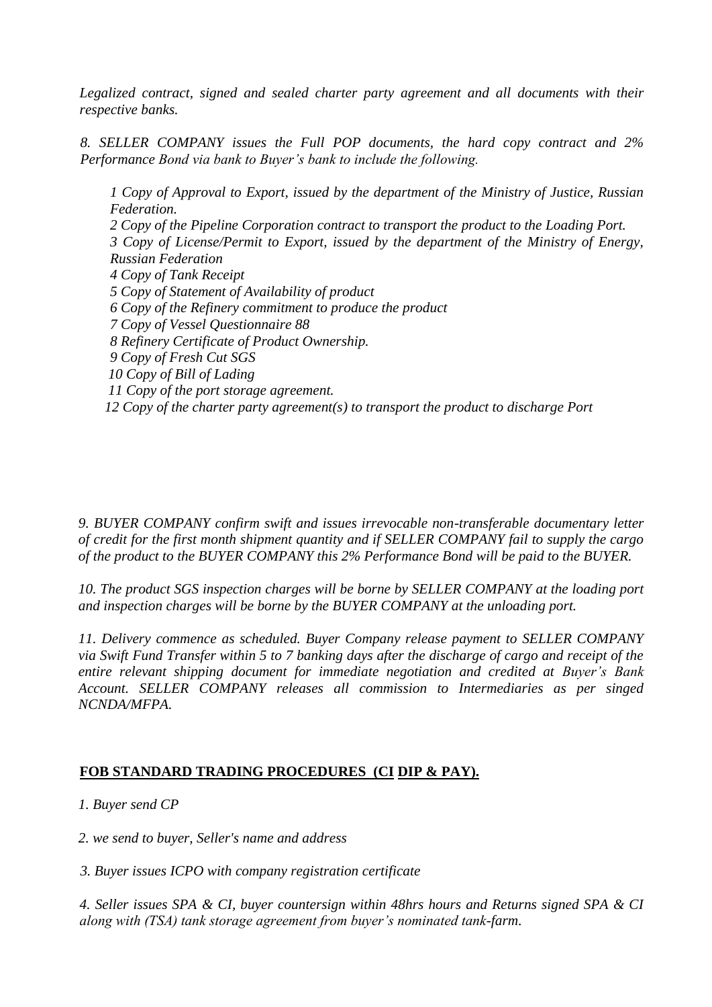*Legalized contract, signed and sealed charter party agreement and all documents with their respective banks.*

*8. SELLER COMPANY issues the Full POP documents, the hard copy contract and 2% Performance Bond via bank to Buyer's bank to include the following.*

*1 Copy of Approval to Export, issued by the department of the Ministry of Justice, Russian Federation. 2 Copy of the Pipeline Corporation contract to transport the product to the Loading Port. 3 Copy of License/Permit to Export, issued by the department of the Ministry of Energy, Russian Federation 4 Copy of Tank Receipt 5 Copy of Statement of Availability of product 6 Copy of the Refinery commitment to produce the product 7 Copy of Vessel Questionnaire 88 8 Refinery Certificate of Product Ownership. 9 Copy of Fresh Cut SGS 10 Copy of Bill of Lading 11 Copy of the port storage agreement. 12 Copy of the charter party agreement(s) to transport the product to discharge Port*

*9. BUYER COMPANY confirm swift and issues irrevocable non-transferable documentary letter of credit for the first month shipment quantity and if SELLER COMPANY fail to supply the cargo of the product to the BUYER COMPANY this 2% Performance Bond will be paid to the BUYER.*

*10. The product SGS inspection charges will be borne by SELLER COMPANY at the loading port and inspection charges will be borne by the BUYER COMPANY at the unloading port.*

*11. Delivery commence as scheduled. Buyer Company release payment to SELLER COMPANY via Swift Fund Transfer within 5 to 7 banking days after the discharge of cargo and receipt of the entire relevant shipping document for immediate negotiation and credited at Buyer's Bank Account. SELLER COMPANY releases all commission to Intermediaries as per singed NCNDA/MFPA.*

## **FOB STANDARD TRADING PROCEDURES (CI DIP & PAY).**

 *1. Buyer send CP*

 *2. we send to buyer, Seller's name and address*

*3. Buyer issues ICPO with company registration certificate* 

*4. Seller issues SPA & CI, buyer countersign within 48hrs hours and Returns signed SPA & CI along with (TSA) tank storage agreement from buyer's nominated tank-farm.*